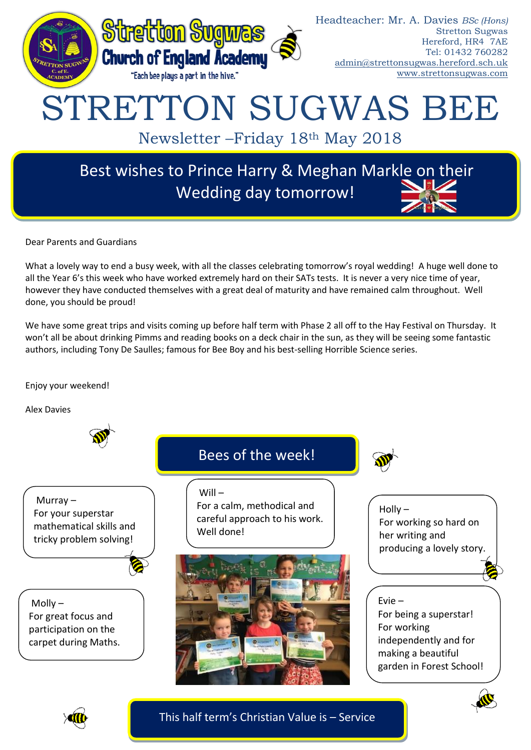

Dear Parents and Guardians

What a lovely way to end a busy week, with all the classes celebrating tomorrow's royal wedding! A huge well done to all the Year 6's this week who have worked extremely hard on their SATs tests. It is never a very nice time of year, however they have conducted themselves with a great deal of maturity and have remained calm throughout. Well done, you should be proud!

We have some great trips and visits coming up before half term with Phase 2 all off to the Hay Festival on Thursday. It won't all be about drinking Pimms and reading books on a deck chair in the sun, as they will be seeing some fantastic authors, including Tony De Saulles; famous for Bee Boy and his best-selling Horrible Science series.

## Enjoy your weekend!

Alex Davies







This half term's Christian Value is – Service